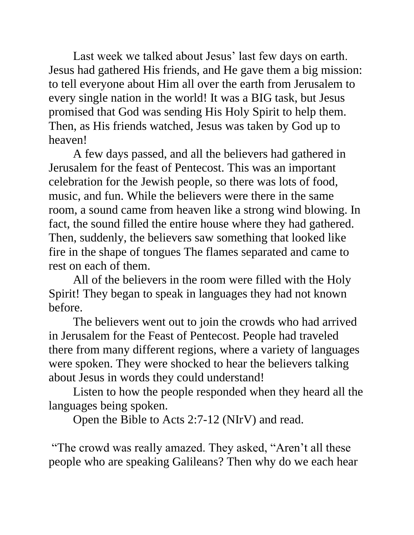Last week we talked about Jesus' last few days on earth. Jesus had gathered His friends, and He gave them a big mission: to tell everyone about Him all over the earth from Jerusalem to every single nation in the world! It was a BIG task, but Jesus promised that God was sending His Holy Spirit to help them. Then, as His friends watched, Jesus was taken by God up to heaven!

A few days passed, and all the believers had gathered in Jerusalem for the feast of Pentecost. This was an important celebration for the Jewish people, so there was lots of food, music, and fun. While the believers were there in the same room, a sound came from heaven like a strong wind blowing. In fact, the sound filled the entire house where they had gathered. Then, suddenly, the believers saw something that looked like fire in the shape of tongues The flames separated and came to rest on each of them.

All of the believers in the room were filled with the Holy Spirit! They began to speak in languages they had not known before.

The believers went out to join the crowds who had arrived in Jerusalem for the Feast of Pentecost. People had traveled there from many different regions, where a variety of languages were spoken. They were shocked to hear the believers talking about Jesus in words they could understand!

Listen to how the people responded when they heard all the languages being spoken.

Open the Bible to Acts 2:7-12 (NIrV) and read.

"The crowd was really amazed. They asked, "Aren't all these people who are speaking Galileans? Then why do we each hear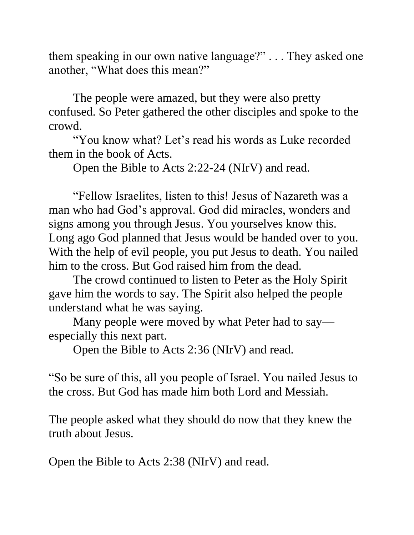them speaking in our own native language?" . . . They asked one another, "What does this mean?"

The people were amazed, but they were also pretty confused. So Peter gathered the other disciples and spoke to the crowd.

"You know what? Let's read his words as Luke recorded them in the book of Acts.

Open the Bible to Acts 2:22-24 (NIrV) and read.

"Fellow Israelites, listen to this! Jesus of Nazareth was a man who had God's approval. God did miracles, wonders and signs among you through Jesus. You yourselves know this. Long ago God planned that Jesus would be handed over to you. With the help of evil people, you put Jesus to death. You nailed him to the cross. But God raised him from the dead.

The crowd continued to listen to Peter as the Holy Spirit gave him the words to say. The Spirit also helped the people understand what he was saying.

Many people were moved by what Peter had to say especially this next part.

Open the Bible to Acts 2:36 (NIrV) and read.

"So be sure of this, all you people of Israel. You nailed Jesus to the cross. But God has made him both Lord and Messiah.

The people asked what they should do now that they knew the truth about Jesus.

Open the Bible to Acts 2:38 (NIrV) and read.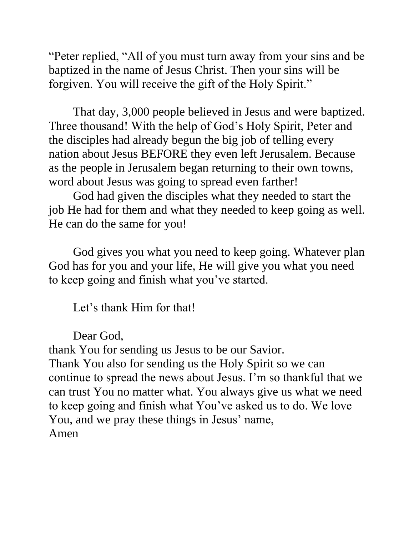"Peter replied, "All of you must turn away from your sins and be baptized in the name of Jesus Christ. Then your sins will be forgiven. You will receive the gift of the Holy Spirit."

That day, 3,000 people believed in Jesus and were baptized. Three thousand! With the help of God's Holy Spirit, Peter and the disciples had already begun the big job of telling every nation about Jesus BEFORE they even left Jerusalem. Because as the people in Jerusalem began returning to their own towns, word about Jesus was going to spread even farther!

God had given the disciples what they needed to start the job He had for them and what they needed to keep going as well. He can do the same for you!

God gives you what you need to keep going. Whatever plan God has for you and your life, He will give you what you need to keep going and finish what you've started.

Let's thank Him for that!

Dear God,

thank You for sending us Jesus to be our Savior. Thank You also for sending us the Holy Spirit so we can continue to spread the news about Jesus. I'm so thankful that we can trust You no matter what. You always give us what we need to keep going and finish what You've asked us to do. We love You, and we pray these things in Jesus' name, Amen